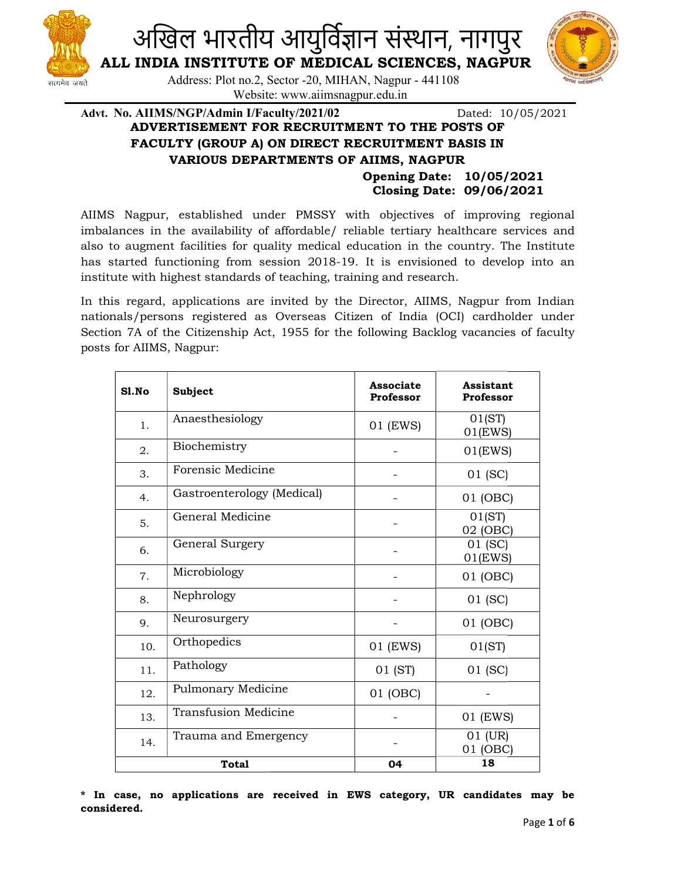

ALL INDIA INSTITUTE OF MEDICAL SCIENCES, NAGPUR

Address: Plot no.2, Sector -20, MIHAN, Nagpur - 441108 Website: www.aiimsnagpur.edu.in

सत्यमेव जयते



Advt. No. AIIMS/NGP/Admin I/Faculty/2021/02 Dated: 10/05/2021 ADVERTISEMENT FOR RECRUITMENT TO THE POSTS OF FACULTY (GROUP A) ON DIRECT RECRUITMENT BASIS IN VARIOUS DEPART DEPARTMENTS OF AIIMS, NAGPUR Dated: 10/05/2021

> Opening Date: 10/05/2021 Closing Date: 09/06/2021

AIIMS Nagpur, established under PMSSY with objectives of improving regional imbalances in the availability of affordable/ reliable tertiary healthcare services and also to augment facilities for quality medical education in the country. The Institute AIIMS Nagpur, established under PMSSY with objectives of improving regional imbalances in the availability of affordable/ reliable tertiary healthcare services and also to augment facilities for quality medical education i institute with highest standards of teaching, training and research.

institute with highest standards of teaching, training and research.<br>In this regard, applications are invited by the Director, AIIMS, Nagpur from Indian nationals/persons registered as Overseas Citizen of India (OCI) cardholder under Section 7A of the Citizenship Act, 1955 for the following Backlog vacancies of faculty posts for AIIMS, Nagpur:

| Sl.No | <b>Subject</b>              | <b>Associate</b><br>Professor | Assistant<br>Professor |
|-------|-----------------------------|-------------------------------|------------------------|
| 1.    | Anaesthesiology             | 01 (EWS)                      | 01(ST)<br>$01$ (EWS)   |
| 2.    | Biochemistry                |                               | $01$ (EWS)             |
| 3.    | Forensic Medicine           |                               | 01 (SC)                |
| 4.    | Gastroenterology (Medical)  |                               | 01 (OBC)               |
| 5.    | General Medicine            |                               | 01(ST)<br>02 (OBC)     |
| 6.    | General Surgery             |                               | 01 (SC)<br>$01$ (EWS)  |
| 7.    | Microbiology                |                               | 01 (OBC)               |
| 8.    | Nephrology                  |                               | 01 (SC)                |
| 9.    | Neurosurgery                |                               | 01 (OBC)               |
| 10.   | Orthopedics                 | 01 (EWS)                      | 01(ST)                 |
| 11.   | Pathology                   | 01 (ST)                       | 01 (SC)                |
| 12.   | Pulmonary Medicine          | 01 (OBC)                      |                        |
| 13.   | <b>Transfusion Medicine</b> |                               | 01 (EWS)               |
| 14.   | Trauma and Emergency        |                               | 01 (UR)<br>01 (OBC)    |
|       | <b>Total</b>                | 04                            | 18                     |

\* In case, no applications are received in EWS category, UR candidates may be considered.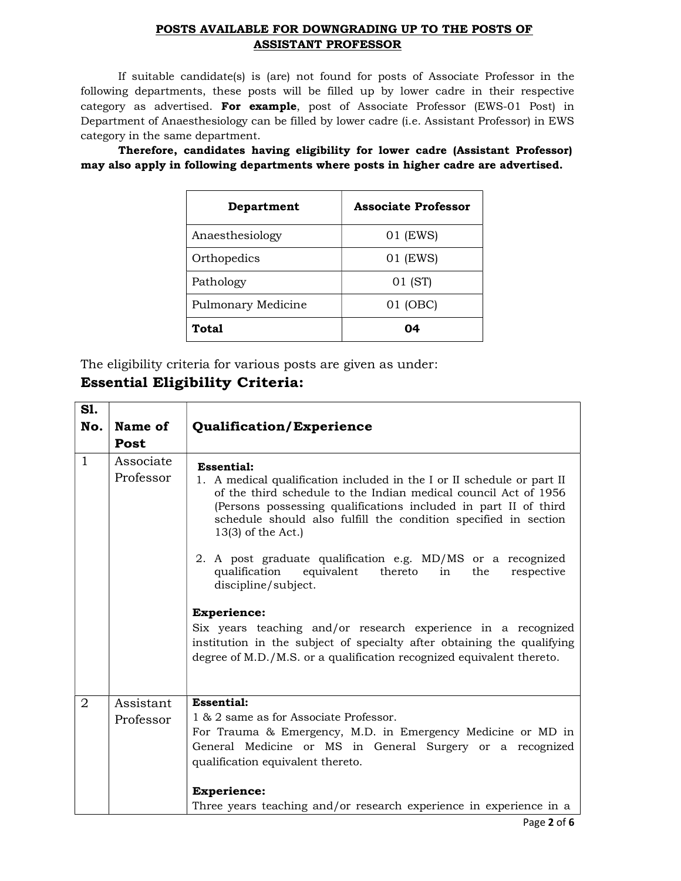#### POSTS AVAILABLE FOR DOWNGRADING UP TO THE POSTS OF ASSISTANT PROFESSOR

If suitable candidate(s) is (are) not found for posts of Associate Professor in the following departments, these posts will be filled up by lower cadre in their respective category as advertised. For example, post of Associate Professor (EWS-01 Post) in Department of Anaesthesiology can be filled by lower cadre (i.e. Assistant Professor) in EWS category in the same department.

Therefore, candidates having eligibility for lower cadre (Assistant Professor) may also apply in following departments where posts in higher cadre are advertised.

| Department         | <b>Associate Professor</b> |
|--------------------|----------------------------|
| Anaesthesiology    | 01 (EWS)                   |
| Orthopedics        | 01 (EWS)                   |
| Pathology          | 01 (ST)                    |
| Pulmonary Medicine | 01 (OBC)                   |
| Total              | በ4                         |

The eligibility criteria for various posts are given as under:

# Essential Eligibility Criteria:

| <b>S1.</b>     |                        |                                                                                                                                                                                                                                                                                                                                                                                                                                                                                                                                                                                                                                                                                                                                   |
|----------------|------------------------|-----------------------------------------------------------------------------------------------------------------------------------------------------------------------------------------------------------------------------------------------------------------------------------------------------------------------------------------------------------------------------------------------------------------------------------------------------------------------------------------------------------------------------------------------------------------------------------------------------------------------------------------------------------------------------------------------------------------------------------|
| No.            | Name of<br>Post        | <b>Qualification/Experience</b>                                                                                                                                                                                                                                                                                                                                                                                                                                                                                                                                                                                                                                                                                                   |
| $\mathbf{1}$   | Associate<br>Professor | <b>Essential:</b><br>1. A medical qualification included in the I or II schedule or part II<br>of the third schedule to the Indian medical council Act of 1956<br>(Persons possessing qualifications included in part II of third<br>schedule should also fulfill the condition specified in section<br>$13(3)$ of the Act.)<br>2. A post graduate qualification e.g. MD/MS or a recognized<br>qualification<br>equivalent<br>thereto<br>respective<br>in<br>the<br>discipline/subject.<br><b>Experience:</b><br>Six years teaching and/or research experience in a recognized<br>institution in the subject of specialty after obtaining the qualifying<br>degree of M.D./M.S. or a qualification recognized equivalent thereto. |
| $\overline{2}$ | Assistant<br>Professor | <b>Essential:</b><br>1 & 2 same as for Associate Professor.<br>For Trauma & Emergency, M.D. in Emergency Medicine or MD in<br>General Medicine or MS in General Surgery or a recognized<br>qualification equivalent thereto.<br><b>Experience:</b>                                                                                                                                                                                                                                                                                                                                                                                                                                                                                |
|                |                        | Three years teaching and/or research experience in experience in a                                                                                                                                                                                                                                                                                                                                                                                                                                                                                                                                                                                                                                                                |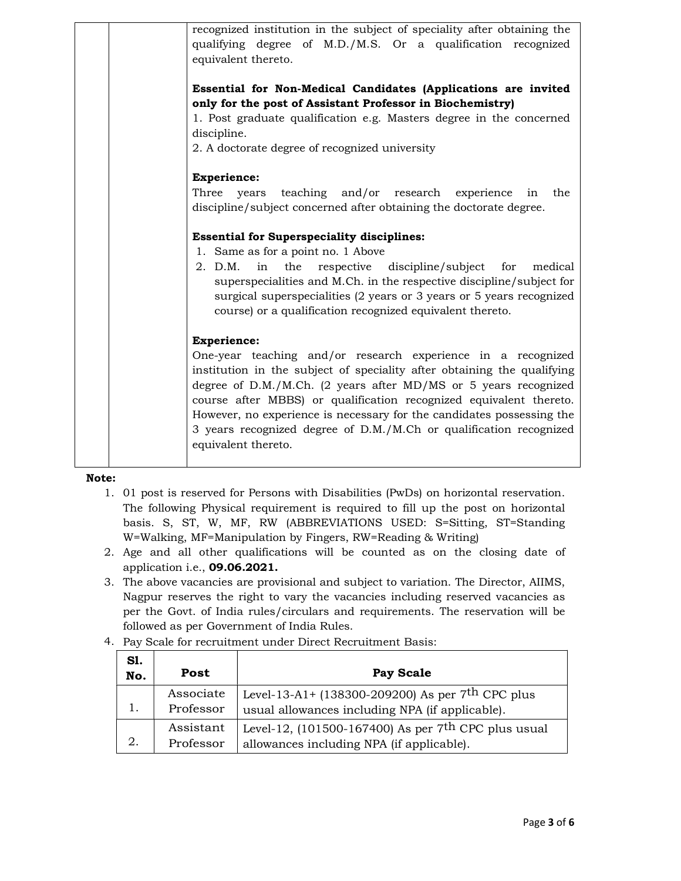| recognized institution in the subject of speciality after obtaining the<br>qualifying degree of M.D./M.S. Or a qualification recognized<br>equivalent thereto.                                                                                                                                                                                                                                                                                                               |
|------------------------------------------------------------------------------------------------------------------------------------------------------------------------------------------------------------------------------------------------------------------------------------------------------------------------------------------------------------------------------------------------------------------------------------------------------------------------------|
| Essential for Non-Medical Candidates (Applications are invited<br>only for the post of Assistant Professor in Biochemistry)<br>1. Post graduate qualification e.g. Masters degree in the concerned<br>discipline.<br>2. A doctorate degree of recognized university                                                                                                                                                                                                          |
| <b>Experience:</b><br>teaching and/or research experience in<br>Three<br>the<br>years<br>discipline/subject concerned after obtaining the doctorate degree.                                                                                                                                                                                                                                                                                                                  |
| <b>Essential for Superspeciality disciplines:</b><br>1. Same as for a point no. 1 Above<br>2. D.M.<br>respective discipline/subject for<br>in<br>the<br>medical<br>superspecialities and M.Ch. in the respective discipline/subject for<br>surgical superspecialities (2 years or 3 years or 5 years recognized<br>course) or a qualification recognized equivalent thereto.                                                                                                 |
| <b>Experience:</b><br>One-year teaching and/or research experience in a recognized<br>institution in the subject of speciality after obtaining the qualifying<br>degree of D.M./M.Ch. (2 years after MD/MS or 5 years recognized<br>course after MBBS) or qualification recognized equivalent thereto.<br>However, no experience is necessary for the candidates possessing the<br>3 years recognized degree of D.M./M.Ch or qualification recognized<br>equivalent thereto. |

#### Note:

- 1. 01 post is reserved for Persons with Disabilities (PwDs) on horizontal reservation. The following Physical requirement is required to fill up the post on horizontal basis. S, ST, W, MF, RW (ABBREVIATIONS USED: S=Sitting, ST=Standing W=Walking, MF=Manipulation by Fingers, RW=Reading & Writing)
- 2. Age and all other qualifications will be counted as on the closing date of application i.e., 09.06.2021.
- 3. The above vacancies are provisional and subject to variation. The Director, AIIMS, Nagpur reserves the right to vary the vacancies including reserved vacancies as per the Govt. of India rules/circulars and requirements. The reservation will be followed as per Government of India Rules.
- 4. Pay Scale for recruitment under Direct Recruitment Basis:

| Sl.<br>No. | Post                   | <b>Pay Scale</b>                                                                                                |
|------------|------------------------|-----------------------------------------------------------------------------------------------------------------|
| .,         | Associate<br>Professor | Level-13-A1+ (138300-209200) As per 7 <sup>th</sup> CPC plus<br>usual allowances including NPA (if applicable). |
| 2.         | Assistant<br>Professor | Level-12, (101500-167400) As per 7 <sup>th</sup> CPC plus usual<br>allowances including NPA (if applicable).    |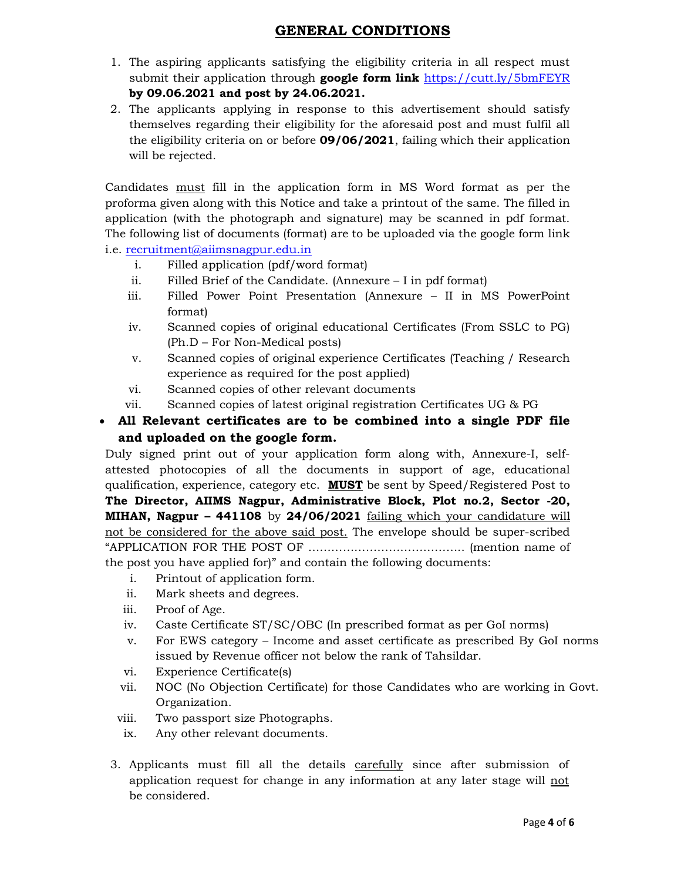## GENERAL CONDITIONS

- 1. The aspiring applicants satisfying the eligibility criteria in all respect must submit their application through **google form link** https://cutt.ly/5bmFEYR by 09.06.2021 and post by 24.06.2021.
- 2. The applicants applying in response to this advertisement should satisfy themselves regarding their eligibility for the aforesaid post and must fulfil all the eligibility criteria on or before **09/06/2021**, failing which their application will be rejected.

Candidates must fill in the application form in MS Word format as per the proforma given along with this Notice and take a printout of the same. The filled in application (with the photograph and signature) may be scanned in pdf format. The following list of documents (format) are to be uploaded via the google form link i.e. recruitment@aiimsnagpur.edu.in

- i. Filled application (pdf/word format)
- ii. Filled Brief of the Candidate. (Annexure I in pdf format)
- iii. Filled Power Point Presentation (Annexure II in MS PowerPoint format)
- iv. Scanned copies of original educational Certificates (From SSLC to PG) (Ph.D – For Non-Medical posts)
- v. Scanned copies of original experience Certificates (Teaching / Research experience as required for the post applied)
- vi. Scanned copies of other relevant documents
- vii. Scanned copies of latest original registration Certificates UG & PG

### All Relevant certificates are to be combined into a single PDF file and uploaded on the google form.

Duly signed print out of your application form along with, Annexure-I, selfattested photocopies of all the documents in support of age, educational qualification, experience, category etc. **MUST** be sent by Speed/Registered Post to The Director, AIIMS Nagpur, Administrative Block, Plot no.2, Sector -20, MIHAN, Nagpur – 441108 by 24/06/2021 failing which your candidature will not be considered for the above said post. The envelope should be super-scribed "APPLICATION FOR THE POST OF ………………………………….. (mention name of the post you have applied for)" and contain the following documents:

- i. Printout of application form.
- ii. Mark sheets and degrees.
- iii. Proof of Age.
- iv. Caste Certificate ST/SC/OBC (In prescribed format as per GoI norms)
- v. For EWS category Income and asset certificate as prescribed By GoI norms issued by Revenue officer not below the rank of Tahsildar.
- vi. Experience Certificate(s)
- vii. NOC (No Objection Certificate) for those Candidates who are working in Govt. Organization.
- viii. Two passport size Photographs.
- ix. Any other relevant documents.
- 3. Applicants must fill all the details carefully since after submission of application request for change in any information at any later stage will not be considered.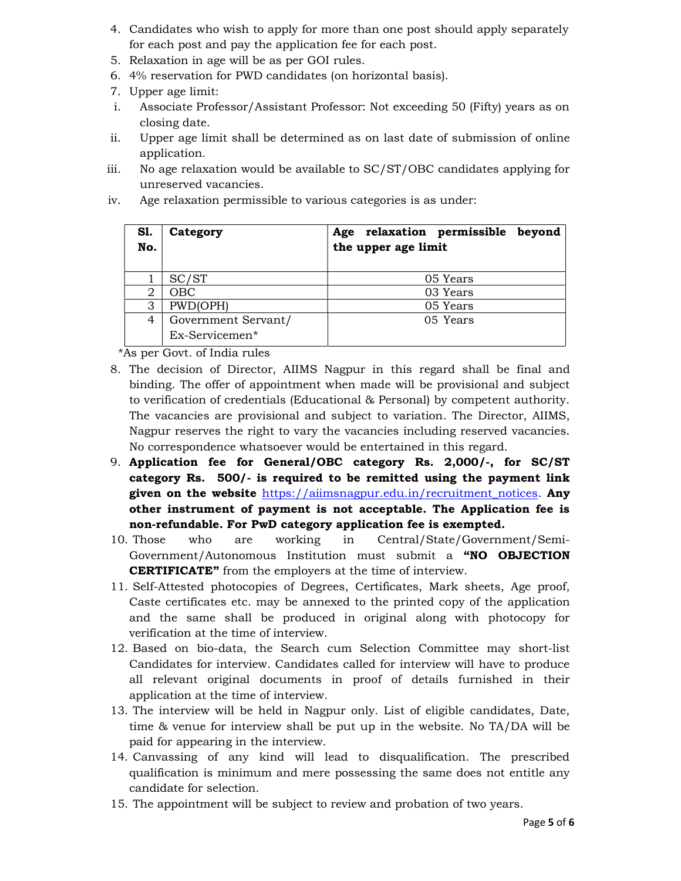- 4. Candidates who wish to apply for more than one post should apply separately for each post and pay the application fee for each post.
- 5. Relaxation in age will be as per GOI rules.
- 6. 4% reservation for PWD candidates (on horizontal basis).
- 7. Upper age limit:
- i. Associate Professor/Assistant Professor: Not exceeding 50 (Fifty) years as on closing date.
- ii. Upper age limit shall be determined as on last date of submission of online application.
- iii. No age relaxation would be available to SC/ST/OBC candidates applying for unreserved vacancies.
- iv. Age relaxation permissible to various categories is as under:

| Sl.<br>No. | Category            | Age relaxation permissible<br>beyond<br>the upper age limit |
|------------|---------------------|-------------------------------------------------------------|
|            | SC/ST               | 05 Years                                                    |
| 2          | OBC                 | 03 Years                                                    |
| 3          | PWD(OPH)            | 05 Years                                                    |
| 4          | Government Servant/ | 05 Years                                                    |
|            | Ex-Servicemen*      |                                                             |

\*As per Govt. of India rules

- 8. The decision of Director, AIIMS Nagpur in this regard shall be final and binding. The offer of appointment when made will be provisional and subject to verification of credentials (Educational & Personal) by competent authority. The vacancies are provisional and subject to variation. The Director, AIIMS, Nagpur reserves the right to vary the vacancies including reserved vacancies. No correspondence whatsoever would be entertained in this regard.
- 9. Application fee for General/OBC category Rs. 2,000/-, for SC/ST category Rs. 500/- is required to be remitted using the payment link given on the website https://aiimsnagpur.edu.in/recruitment\_notices. Any other instrument of payment is not acceptable. The Application fee is non-refundable. For PwD category application fee is exempted.
- 10. Those who are working in Central/State/Government/Semi-Government/Autonomous Institution must submit a "NO OBJECTION **CERTIFICATE"** from the employers at the time of interview.
- 11. Self-Attested photocopies of Degrees, Certificates, Mark sheets, Age proof, Caste certificates etc. may be annexed to the printed copy of the application and the same shall be produced in original along with photocopy for verification at the time of interview.
- 12. Based on bio-data, the Search cum Selection Committee may short-list Candidates for interview. Candidates called for interview will have to produce all relevant original documents in proof of details furnished in their application at the time of interview.
- 13. The interview will be held in Nagpur only. List of eligible candidates, Date, time & venue for interview shall be put up in the website. No TA/DA will be paid for appearing in the interview.
- 14. Canvassing of any kind will lead to disqualification. The prescribed qualification is minimum and mere possessing the same does not entitle any candidate for selection.
- 15. The appointment will be subject to review and probation of two years.